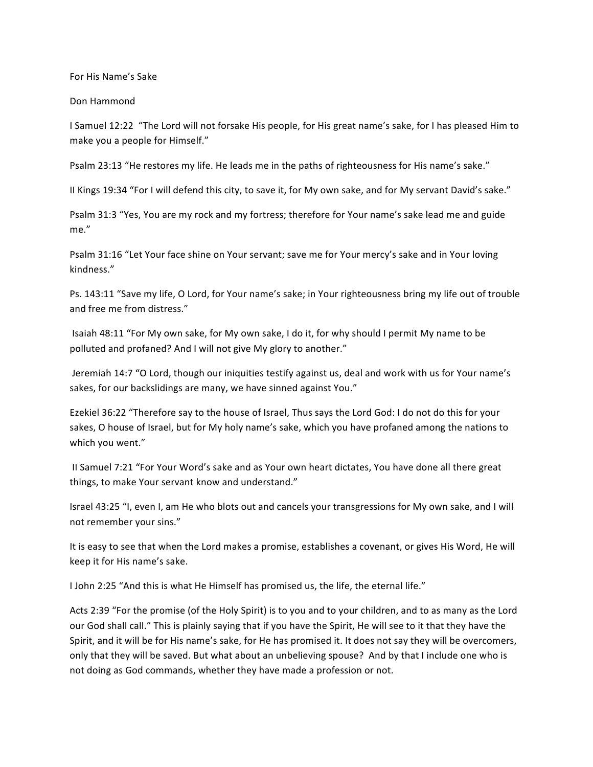For His Name's Sake

Don Hammond

I Samuel 12:22 "The Lord will not forsake His people, for His great name's sake, for I has pleased Him to make you a people for Himself."

Psalm 23:13 "He restores my life. He leads me in the paths of righteousness for His name's sake."

Il Kings 19:34 "For I will defend this city, to save it, for My own sake, and for My servant David's sake."

Psalm 31:3 "Yes, You are my rock and my fortress; therefore for Your name's sake lead me and guide me."

Psalm 31:16 "Let Your face shine on Your servant; save me for Your mercy's sake and in Your loving kindness."

Ps. 143:11 "Save my life, O Lord, for Your name's sake; in Your righteousness bring my life out of trouble and free me from distress."

Isaiah 48:11 "For My own sake, for My own sake, I do it, for why should I permit My name to be polluted and profaned? And I will not give My glory to another."

Jeremiah 14:7 "O Lord, though our iniquities testify against us, deal and work with us for Your name's sakes, for our backslidings are many, we have sinned against You."

Ezekiel 36:22 "Therefore say to the house of Israel, Thus says the Lord God: I do not do this for your sakes, O house of Israel, but for My holy name's sake, which you have profaned among the nations to which you went."

II Samuel 7:21 "For Your Word's sake and as Your own heart dictates, You have done all there great things, to make Your servant know and understand."

Israel 43:25 "I, even I, am He who blots out and cancels your transgressions for My own sake, and I will not remember your sins."

It is easy to see that when the Lord makes a promise, establishes a covenant, or gives His Word, He will keep it for His name's sake.

I John 2:25 "And this is what He Himself has promised us, the life, the eternal life."

Acts 2:39 "For the promise (of the Holy Spirit) is to you and to your children, and to as many as the Lord our God shall call." This is plainly saying that if you have the Spirit, He will see to it that they have the Spirit, and it will be for His name's sake, for He has promised it. It does not say they will be overcomers, only that they will be saved. But what about an unbelieving spouse? And by that I include one who is not doing as God commands, whether they have made a profession or not.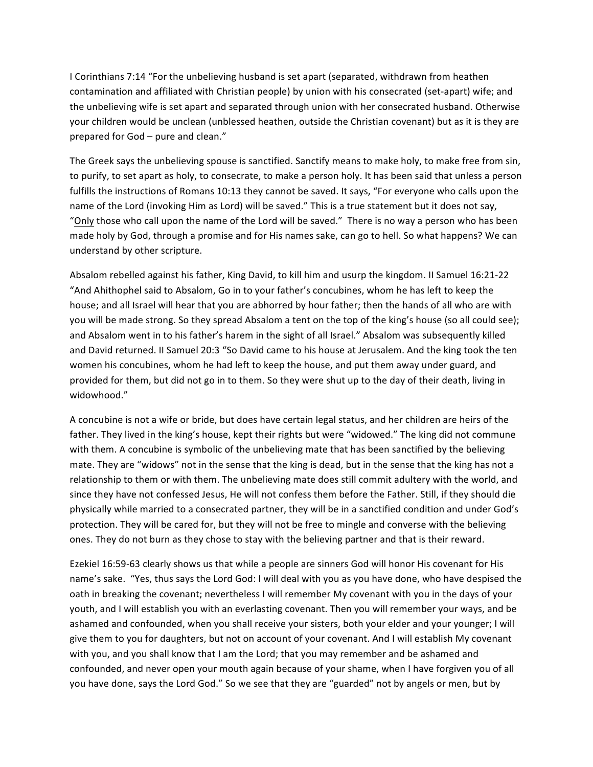I Corinthians 7:14 "For the unbelieving husband is set apart (separated, withdrawn from heathen contamination and affiliated with Christian people) by union with his consecrated (set-apart) wife; and the unbelieving wife is set apart and separated through union with her consecrated husband. Otherwise your children would be unclean (unblessed heathen, outside the Christian covenant) but as it is they are prepared for God - pure and clean."

The Greek says the unbelieving spouse is sanctified. Sanctify means to make holy, to make free from sin, to purify, to set apart as holy, to consecrate, to make a person holy. It has been said that unless a person fulfills the instructions of Romans 10:13 they cannot be saved. It says, "For everyone who calls upon the name of the Lord (invoking Him as Lord) will be saved." This is a true statement but it does not say, "Only those who call upon the name of the Lord will be saved." There is no way a person who has been made holy by God, through a promise and for His names sake, can go to hell. So what happens? We can understand by other scripture.

Absalom rebelled against his father, King David, to kill him and usurp the kingdom. II Samuel 16:21-22 "And Ahithophel said to Absalom, Go in to your father's concubines, whom he has left to keep the house; and all Israel will hear that you are abhorred by hour father; then the hands of all who are with you will be made strong. So they spread Absalom a tent on the top of the king's house (so all could see); and Absalom went in to his father's harem in the sight of all Israel." Absalom was subsequently killed and David returned. II Samuel 20:3 "So David came to his house at Jerusalem. And the king took the ten women his concubines, whom he had left to keep the house, and put them away under guard, and provided for them, but did not go in to them. So they were shut up to the day of their death, living in widowhood."

A concubine is not a wife or bride, but does have certain legal status, and her children are heirs of the father. They lived in the king's house, kept their rights but were "widowed." The king did not commune with them. A concubine is symbolic of the unbelieving mate that has been sanctified by the believing mate. They are "widows" not in the sense that the king is dead, but in the sense that the king has not a relationship to them or with them. The unbelieving mate does still commit adultery with the world, and since they have not confessed Jesus, He will not confess them before the Father. Still, if they should die physically while married to a consecrated partner, they will be in a sanctified condition and under God's protection. They will be cared for, but they will not be free to mingle and converse with the believing ones. They do not burn as they chose to stay with the believing partner and that is their reward.

Ezekiel 16:59-63 clearly shows us that while a people are sinners God will honor His covenant for His name's sake. "Yes, thus says the Lord God: I will deal with you as you have done, who have despised the oath in breaking the covenant; nevertheless I will remember My covenant with you in the days of your youth, and I will establish you with an everlasting covenant. Then you will remember your ways, and be ashamed and confounded, when you shall receive your sisters, both your elder and your younger; I will give them to you for daughters, but not on account of your covenant. And I will establish My covenant with you, and you shall know that I am the Lord; that you may remember and be ashamed and confounded, and never open your mouth again because of your shame, when I have forgiven you of all you have done, says the Lord God." So we see that they are "guarded" not by angels or men, but by